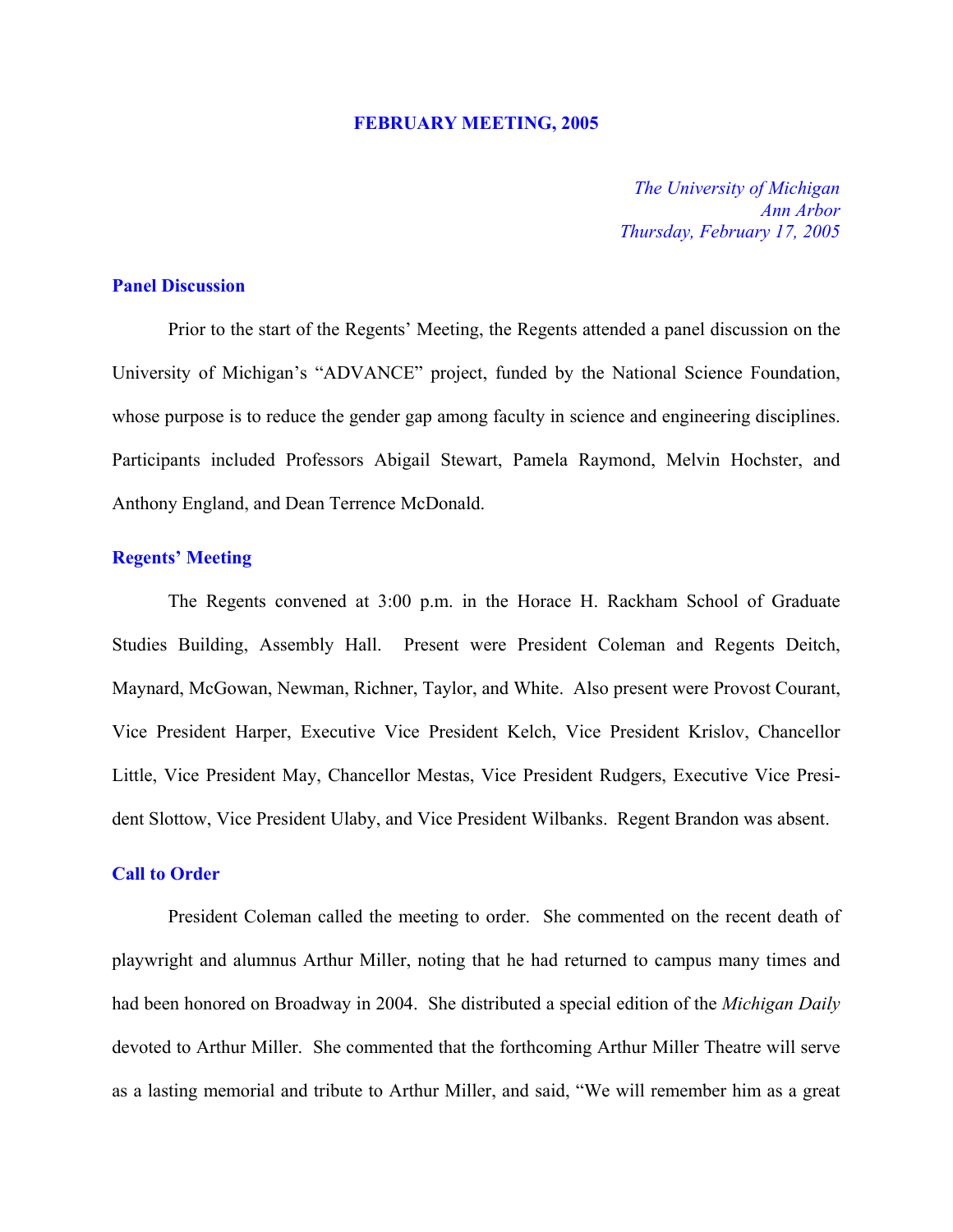#### **FEBRUARY MEETING, 2005**

*The University of Michigan Ann Arbor Thursday, February 17, 2005*

## **Panel Discussion**

Prior to the start of the Regents' Meeting, the Regents attended a panel discussion on the University of Michigan's "ADVANCE" project, funded by the National Science Foundation, whose purpose is to reduce the gender gap among faculty in science and engineering disciplines. Participants included Professors Abigail Stewart, Pamela Raymond, Melvin Hochster, and Anthony England, and Dean Terrence McDonald.

### **Regents' Meeting**

The Regents convened at 3:00 p.m. in the Horace H. Rackham School of Graduate Studies Building, Assembly Hall. Present were President Coleman and Regents Deitch, Maynard, McGowan, Newman, Richner, Taylor, and White. Also present were Provost Courant, Vice President Harper, Executive Vice President Kelch, Vice President Krislov, Chancellor Little, Vice President May, Chancellor Mestas, Vice President Rudgers, Executive Vice President Slottow, Vice President Ulaby, and Vice President Wilbanks. Regent Brandon was absent.

## **Call to Order**

President Coleman called the meeting to order. She commented on the recent death of playwright and alumnus Arthur Miller, noting that he had returned to campus many times and had been honored on Broadway in 2004. She distributed a special edition of the *Michigan Daily* devoted to Arthur Miller. She commented that the forthcoming Arthur Miller Theatre will serve as a lasting memorial and tribute to Arthur Miller, and said, "We will remember him as a great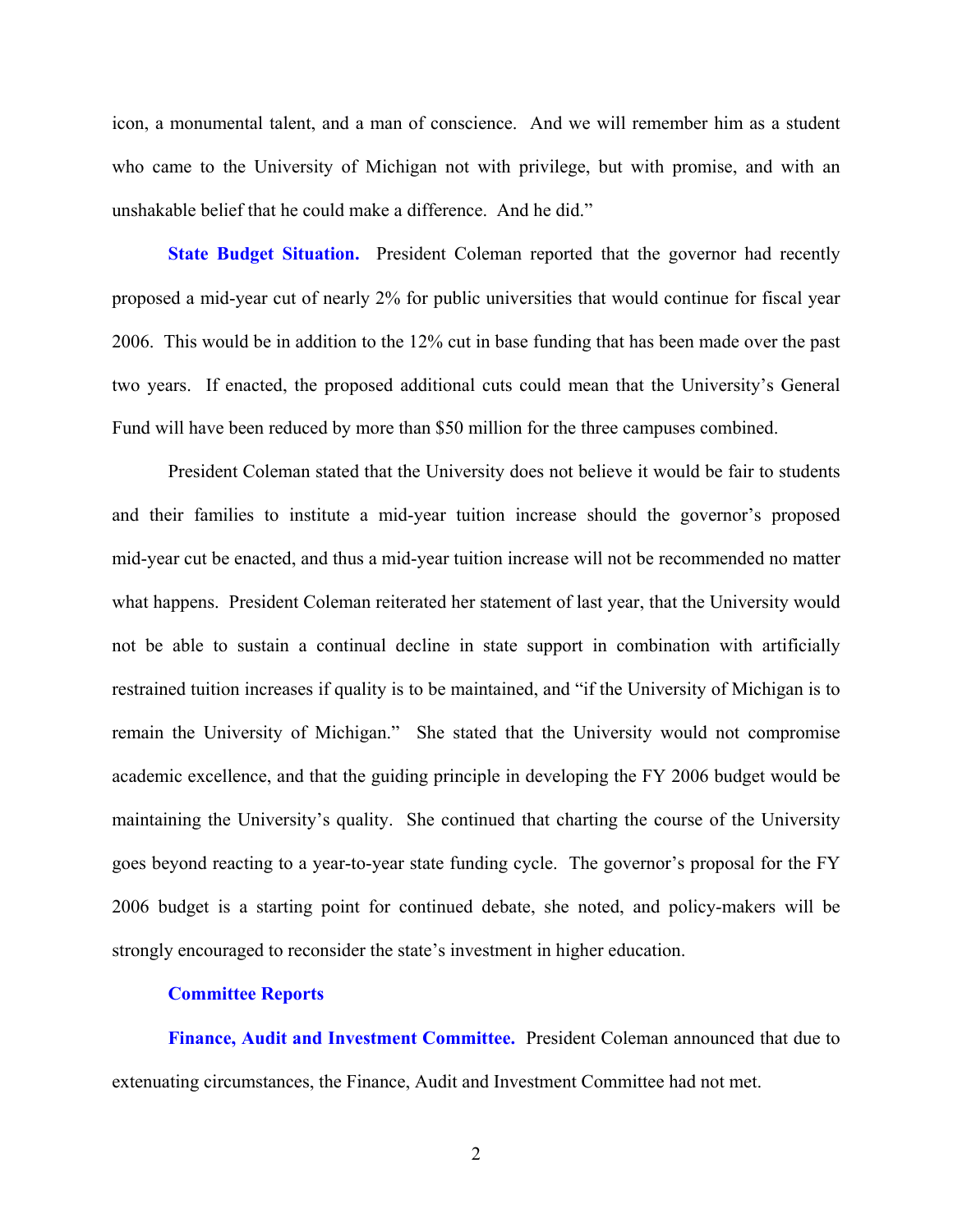icon, a monumental talent, and a man of conscience. And we will remember him as a student who came to the University of Michigan not with privilege, but with promise, and with an unshakable belief that he could make a difference. And he did."

**State Budget Situation.** President Coleman reported that the governor had recently proposed a mid-year cut of nearly 2% for public universities that would continue for fiscal year 2006. This would be in addition to the 12% cut in base funding that has been made over the past two years. If enacted, the proposed additional cuts could mean that the University's General Fund will have been reduced by more than \$50 million for the three campuses combined.

President Coleman stated that the University does not believe it would be fair to students and their families to institute a mid-year tuition increase should the governor's proposed mid-year cut be enacted, and thus a mid-year tuition increase will not be recommended no matter what happens. President Coleman reiterated her statement of last year, that the University would not be able to sustain a continual decline in state support in combination with artificially restrained tuition increases if quality is to be maintained, and "if the University of Michigan is to remain the University of Michigan." She stated that the University would not compromise academic excellence, and that the guiding principle in developing the FY 2006 budget would be maintaining the University's quality. She continued that charting the course of the University goes beyond reacting to a year-to-year state funding cycle. The governor's proposal for the FY 2006 budget is a starting point for continued debate, she noted, and policy-makers will be strongly encouraged to reconsider the state's investment in higher education.

### **Committee Reports**

**Finance, Audit and Investment Committee.** President Coleman announced that due to extenuating circumstances, the Finance, Audit and Investment Committee had not met.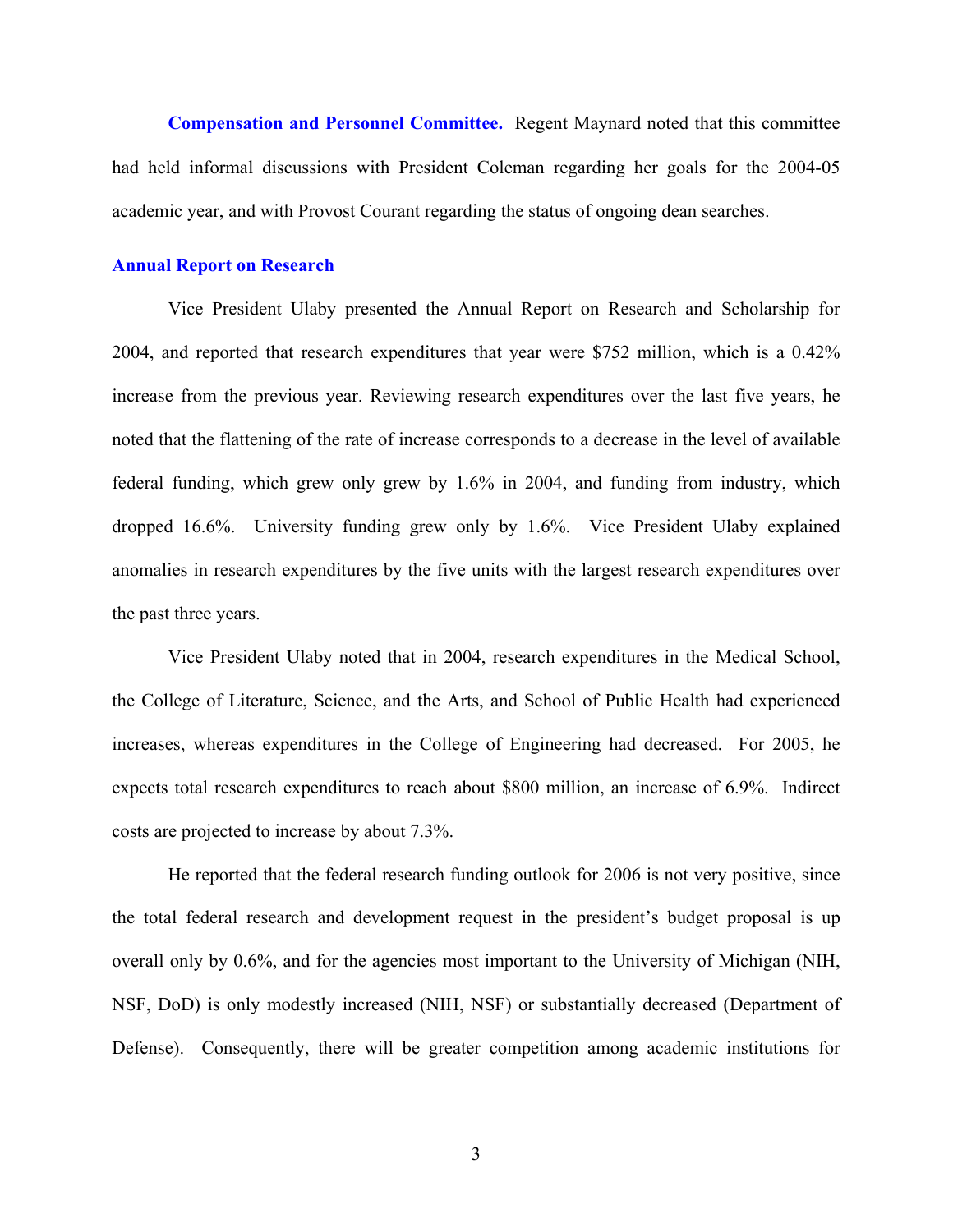**Compensation and Personnel Committee.** Regent Maynard noted that this committee had held informal discussions with President Coleman regarding her goals for the 2004-05 academic year, and with Provost Courant regarding the status of ongoing dean searches.

### **Annual Report on Research**

Vice President Ulaby presented the Annual Report on Research and Scholarship for 2004, and reported that research expenditures that year were \$752 million, which is a 0.42% increase from the previous year. Reviewing research expenditures over the last five years, he noted that the flattening of the rate of increase corresponds to a decrease in the level of available federal funding, which grew only grew by 1.6% in 2004, and funding from industry, which dropped 16.6%. University funding grew only by 1.6%. Vice President Ulaby explained anomalies in research expenditures by the five units with the largest research expenditures over the past three years.

Vice President Ulaby noted that in 2004, research expenditures in the Medical School, the College of Literature, Science, and the Arts, and School of Public Health had experienced increases, whereas expenditures in the College of Engineering had decreased. For 2005, he expects total research expenditures to reach about \$800 million, an increase of 6.9%. Indirect costs are projected to increase by about 7.3%.

He reported that the federal research funding outlook for 2006 is not very positive, since the total federal research and development request in the president's budget proposal is up overall only by 0.6%, and for the agencies most important to the University of Michigan (NIH, NSF, DoD) is only modestly increased (NIH, NSF) or substantially decreased (Department of Defense). Consequently, there will be greater competition among academic institutions for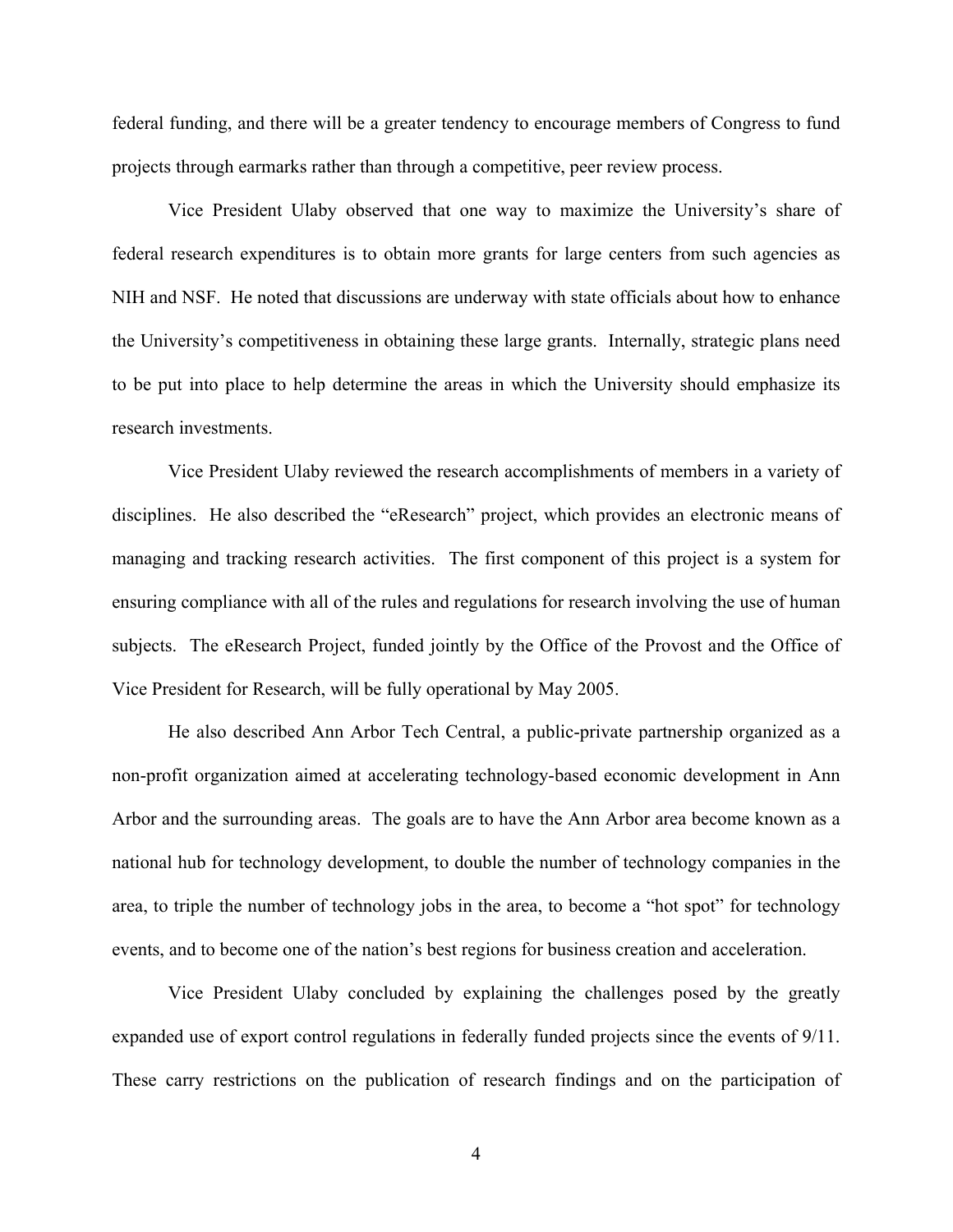federal funding, and there will be a greater tendency to encourage members of Congress to fund projects through earmarks rather than through a competitive, peer review process.

Vice President Ulaby observed that one way to maximize the University's share of federal research expenditures is to obtain more grants for large centers from such agencies as NIH and NSF. He noted that discussions are underway with state officials about how to enhance the University's competitiveness in obtaining these large grants. Internally, strategic plans need to be put into place to help determine the areas in which the University should emphasize its research investments.

Vice President Ulaby reviewed the research accomplishments of members in a variety of disciplines. He also described the "eResearch" project, which provides an electronic means of managing and tracking research activities. The first component of this project is a system for ensuring compliance with all of the rules and regulations for research involving the use of human subjects. The eResearch Project, funded jointly by the Office of the Provost and the Office of Vice President for Research, will be fully operational by May 2005.

He also described Ann Arbor Tech Central, a public-private partnership organized as a non-profit organization aimed at accelerating technology-based economic development in Ann Arbor and the surrounding areas. The goals are to have the Ann Arbor area become known as a national hub for technology development, to double the number of technology companies in the area, to triple the number of technology jobs in the area, to become a "hot spot" for technology events, and to become one of the nation's best regions for business creation and acceleration.

Vice President Ulaby concluded by explaining the challenges posed by the greatly expanded use of export control regulations in federally funded projects since the events of 9/11. These carry restrictions on the publication of research findings and on the participation of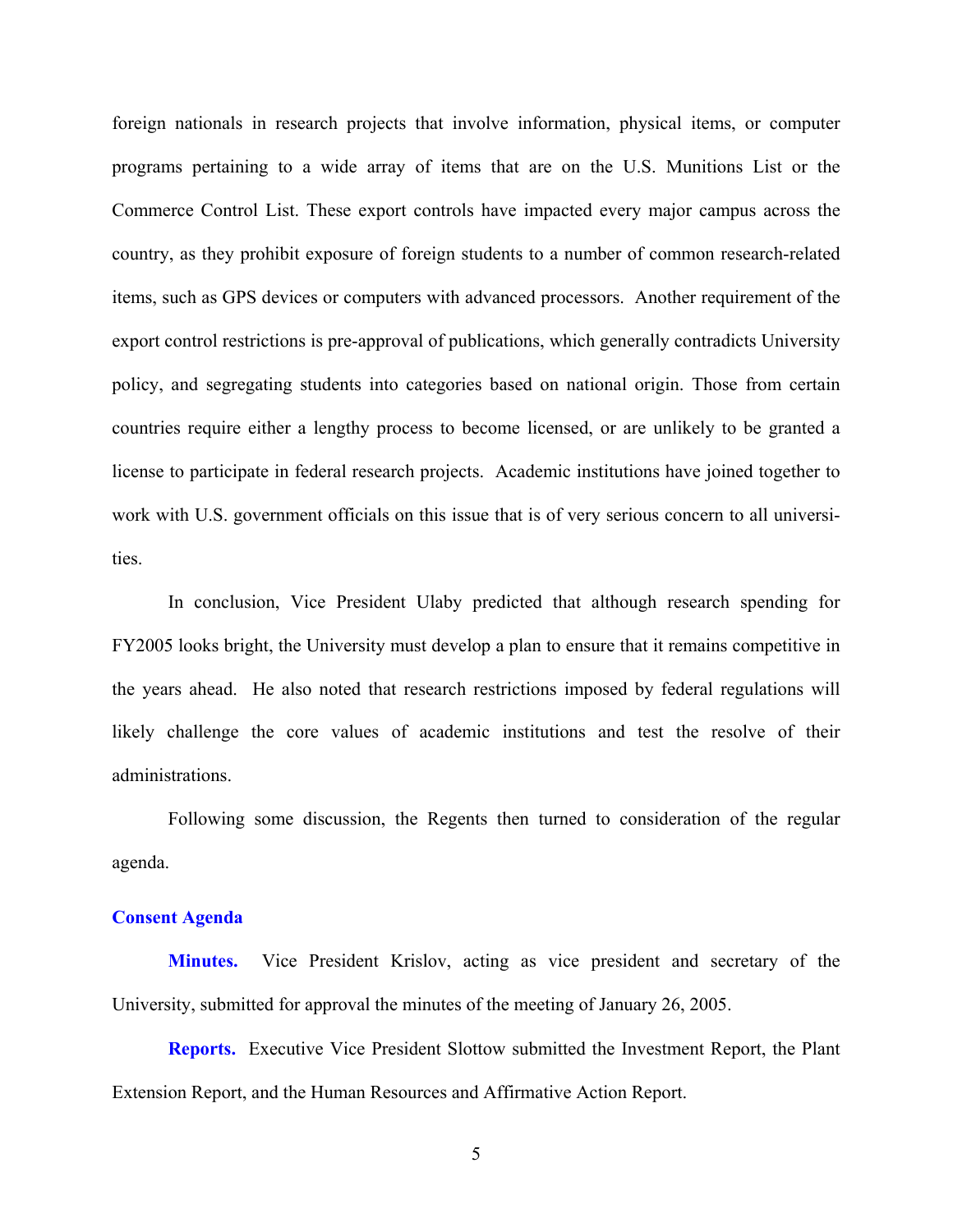foreign nationals in research projects that involve information, physical items, or computer programs pertaining to a wide array of items that are on the U.S. Munitions List or the Commerce Control List. These export controls have impacted every major campus across the country, as they prohibit exposure of foreign students to a number of common research-related items, such as GPS devices or computers with advanced processors. Another requirement of the export control restrictions is pre-approval of publications, which generally contradicts University policy, and segregating students into categories based on national origin. Those from certain countries require either a lengthy process to become licensed, or are unlikely to be granted a license to participate in federal research projects. Academic institutions have joined together to work with U.S. government officials on this issue that is of very serious concern to all universities.

In conclusion, Vice President Ulaby predicted that although research spending for FY2005 looks bright, the University must develop a plan to ensure that it remains competitive in the years ahead. He also noted that research restrictions imposed by federal regulations will likely challenge the core values of academic institutions and test the resolve of their administrations.

Following some discussion, the Regents then turned to consideration of the regular agenda.

## **Consent Agenda**

**Minutes.** Vice President Krislov, acting as vice president and secretary of the University, submitted for approval the minutes of the meeting of January 26, 2005.

**Reports.** Executive Vice President Slottow submitted the Investment Report, the Plant Extension Report, and the Human Resources and Affirmative Action Report.

5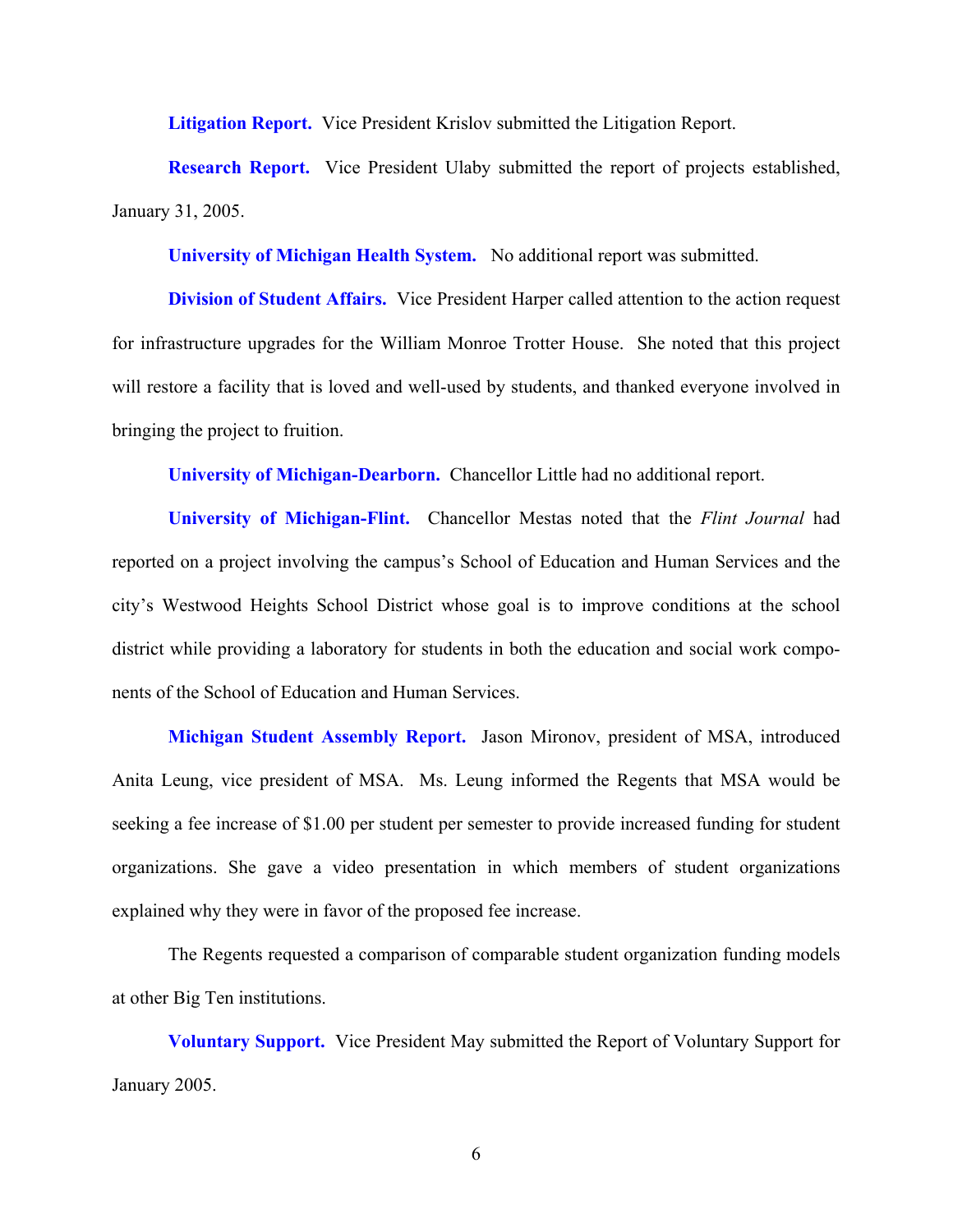**Litigation Report.** Vice President Krislov submitted the Litigation Report.

**Research Report.** Vice President Ulaby submitted the report of projects established, January 31, 2005.

**University of Michigan Health System.** No additional report was submitted.

**Division of Student Affairs.** Vice President Harper called attention to the action request for infrastructure upgrades for the William Monroe Trotter House. She noted that this project will restore a facility that is loved and well-used by students, and thanked everyone involved in bringing the project to fruition.

**University of Michigan-Dearborn.** Chancellor Little had no additional report.

**University of Michigan-Flint.** Chancellor Mestas noted that the *Flint Journal* had reported on a project involving the campus's School of Education and Human Services and the city's Westwood Heights School District whose goal is to improve conditions at the school district while providing a laboratory for students in both the education and social work components of the School of Education and Human Services.

**Michigan Student Assembly Report.** Jason Mironov, president of MSA, introduced Anita Leung, vice president of MSA. Ms. Leung informed the Regents that MSA would be seeking a fee increase of \$1.00 per student per semester to provide increased funding for student organizations. She gave a video presentation in which members of student organizations explained why they were in favor of the proposed fee increase.

The Regents requested a comparison of comparable student organization funding models at other Big Ten institutions.

**Voluntary Support.** Vice President May submitted the Report of Voluntary Support for January 2005.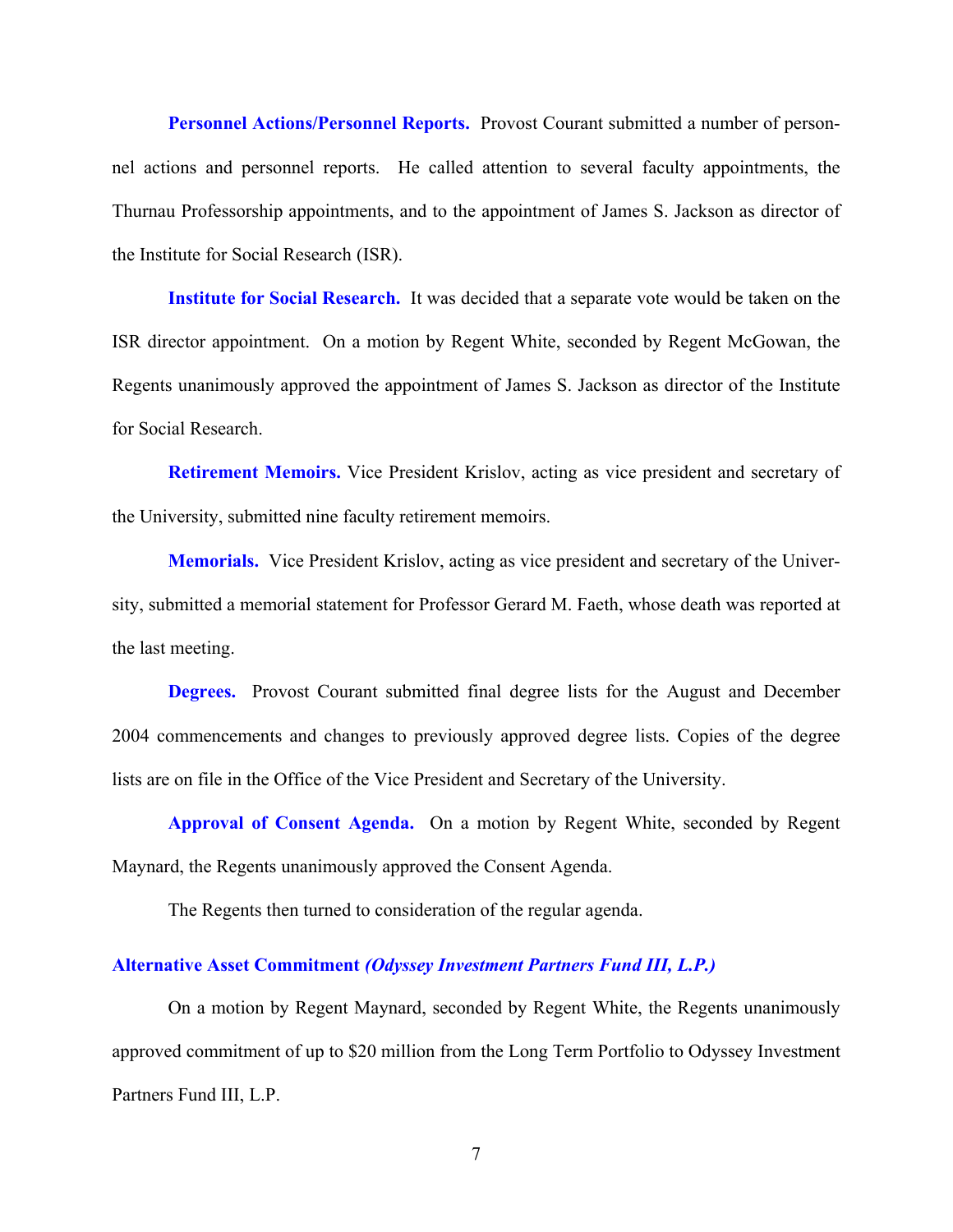**Personnel Actions/Personnel Reports.** Provost Courant submitted a number of personnel actions and personnel reports. He called attention to several faculty appointments, the Thurnau Professorship appointments, and to the appointment of James S. Jackson as director of the Institute for Social Research (ISR).

**Institute for Social Research.** It was decided that a separate vote would be taken on the ISR director appointment. On a motion by Regent White, seconded by Regent McGowan, the Regents unanimously approved the appointment of James S. Jackson as director of the Institute for Social Research.

**Retirement Memoirs.** Vice President Krislov, acting as vice president and secretary of the University, submitted nine faculty retirement memoirs.

**Memorials.** Vice President Krislov, acting as vice president and secretary of the University, submitted a memorial statement for Professor Gerard M. Faeth, whose death was reported at the last meeting.

**Degrees.** Provost Courant submitted final degree lists for the August and December 2004 commencements and changes to previously approved degree lists. Copies of the degree lists are on file in the Office of the Vice President and Secretary of the University.

**Approval of Consent Agenda.** On a motion by Regent White, seconded by Regent Maynard, the Regents unanimously approved the Consent Agenda.

The Regents then turned to consideration of the regular agenda.

## **Alternative Asset Commitment** *(Odyssey Investment Partners Fund III, L.P.)*

On a motion by Regent Maynard, seconded by Regent White, the Regents unanimously approved commitment of up to \$20 million from the Long Term Portfolio to Odyssey Investment Partners Fund III, L.P.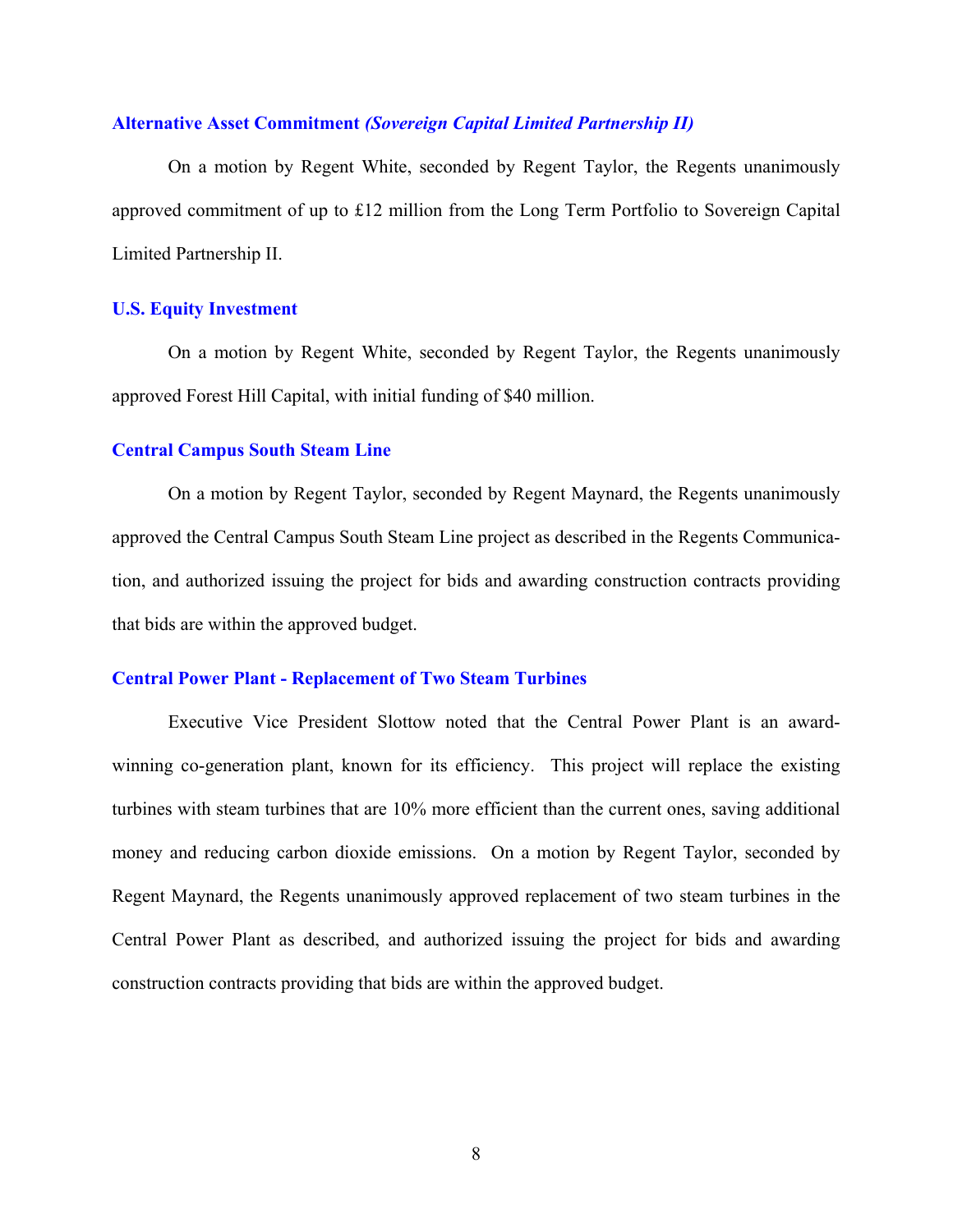## **Alternative Asset Commitment** *(Sovereign Capital Limited Partnership II)*

On a motion by Regent White, seconded by Regent Taylor, the Regents unanimously approved commitment of up to £12 million from the Long Term Portfolio to Sovereign Capital Limited Partnership II.

## **U.S. Equity Investment**

On a motion by Regent White, seconded by Regent Taylor, the Regents unanimously approved Forest Hill Capital, with initial funding of \$40 million.

### **Central Campus South Steam Line**

On a motion by Regent Taylor, seconded by Regent Maynard, the Regents unanimously approved the Central Campus South Steam Line project as described in the Regents Communication, and authorized issuing the project for bids and awarding construction contracts providing that bids are within the approved budget.

### **Central Power Plant - Replacement of Two Steam Turbines**

Executive Vice President Slottow noted that the Central Power Plant is an awardwinning co-generation plant, known for its efficiency. This project will replace the existing turbines with steam turbines that are 10% more efficient than the current ones, saving additional money and reducing carbon dioxide emissions. On a motion by Regent Taylor, seconded by Regent Maynard, the Regents unanimously approved replacement of two steam turbines in the Central Power Plant as described, and authorized issuing the project for bids and awarding construction contracts providing that bids are within the approved budget.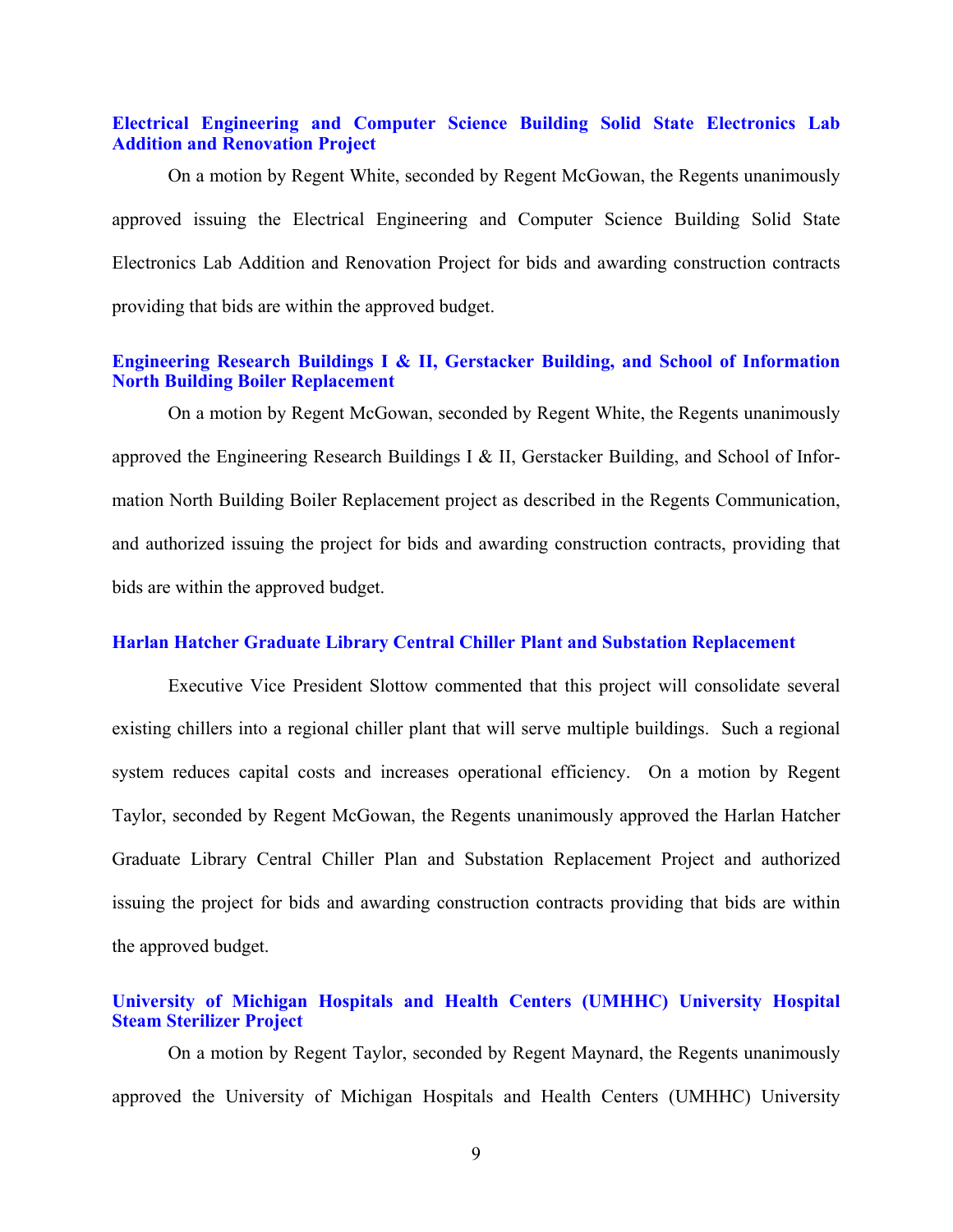## **Electrical Engineering and Computer Science Building Solid State Electronics Lab Addition and Renovation Project**

On a motion by Regent White, seconded by Regent McGowan, the Regents unanimously approved issuing the Electrical Engineering and Computer Science Building Solid State Electronics Lab Addition and Renovation Project for bids and awarding construction contracts providing that bids are within the approved budget.

# **Engineering Research Buildings I & II, Gerstacker Building, and School of Information North Building Boiler Replacement**

On a motion by Regent McGowan, seconded by Regent White, the Regents unanimously approved the Engineering Research Buildings I & II, Gerstacker Building, and School of Information North Building Boiler Replacement project as described in the Regents Communication, and authorized issuing the project for bids and awarding construction contracts, providing that bids are within the approved budget.

## **Harlan Hatcher Graduate Library Central Chiller Plant and Substation Replacement**

Executive Vice President Slottow commented that this project will consolidate several existing chillers into a regional chiller plant that will serve multiple buildings. Such a regional system reduces capital costs and increases operational efficiency. On a motion by Regent Taylor, seconded by Regent McGowan, the Regents unanimously approved the Harlan Hatcher Graduate Library Central Chiller Plan and Substation Replacement Project and authorized issuing the project for bids and awarding construction contracts providing that bids are within the approved budget.

# **University of Michigan Hospitals and Health Centers (UMHHC) University Hospital Steam Sterilizer Project**

On a motion by Regent Taylor, seconded by Regent Maynard, the Regents unanimously approved the University of Michigan Hospitals and Health Centers (UMHHC) University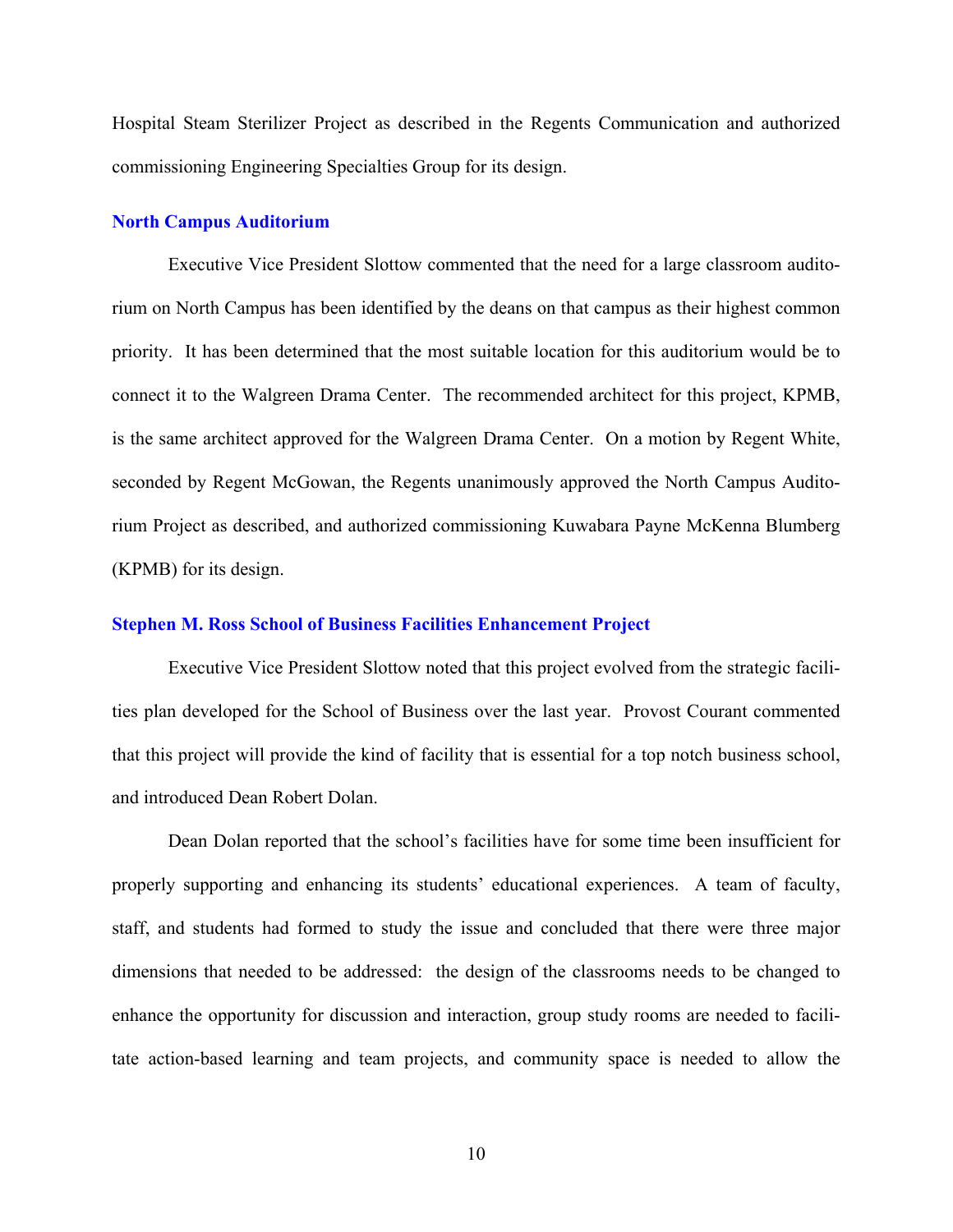Hospital Steam Sterilizer Project as described in the Regents Communication and authorized commissioning Engineering Specialties Group for its design.

### **North Campus Auditorium**

Executive Vice President Slottow commented that the need for a large classroom auditorium on North Campus has been identified by the deans on that campus as their highest common priority. It has been determined that the most suitable location for this auditorium would be to connect it to the Walgreen Drama Center. The recommended architect for this project, KPMB, is the same architect approved for the Walgreen Drama Center. On a motion by Regent White, seconded by Regent McGowan, the Regents unanimously approved the North Campus Auditorium Project as described, and authorized commissioning Kuwabara Payne McKenna Blumberg (KPMB) for its design.

### **Stephen M. Ross School of Business Facilities Enhancement Project**

Executive Vice President Slottow noted that this project evolved from the strategic facilities plan developed for the School of Business over the last year. Provost Courant commented that this project will provide the kind of facility that is essential for a top notch business school, and introduced Dean Robert Dolan.

Dean Dolan reported that the school's facilities have for some time been insufficient for properly supporting and enhancing its students' educational experiences. A team of faculty, staff, and students had formed to study the issue and concluded that there were three major dimensions that needed to be addressed: the design of the classrooms needs to be changed to enhance the opportunity for discussion and interaction, group study rooms are needed to facilitate action-based learning and team projects, and community space is needed to allow the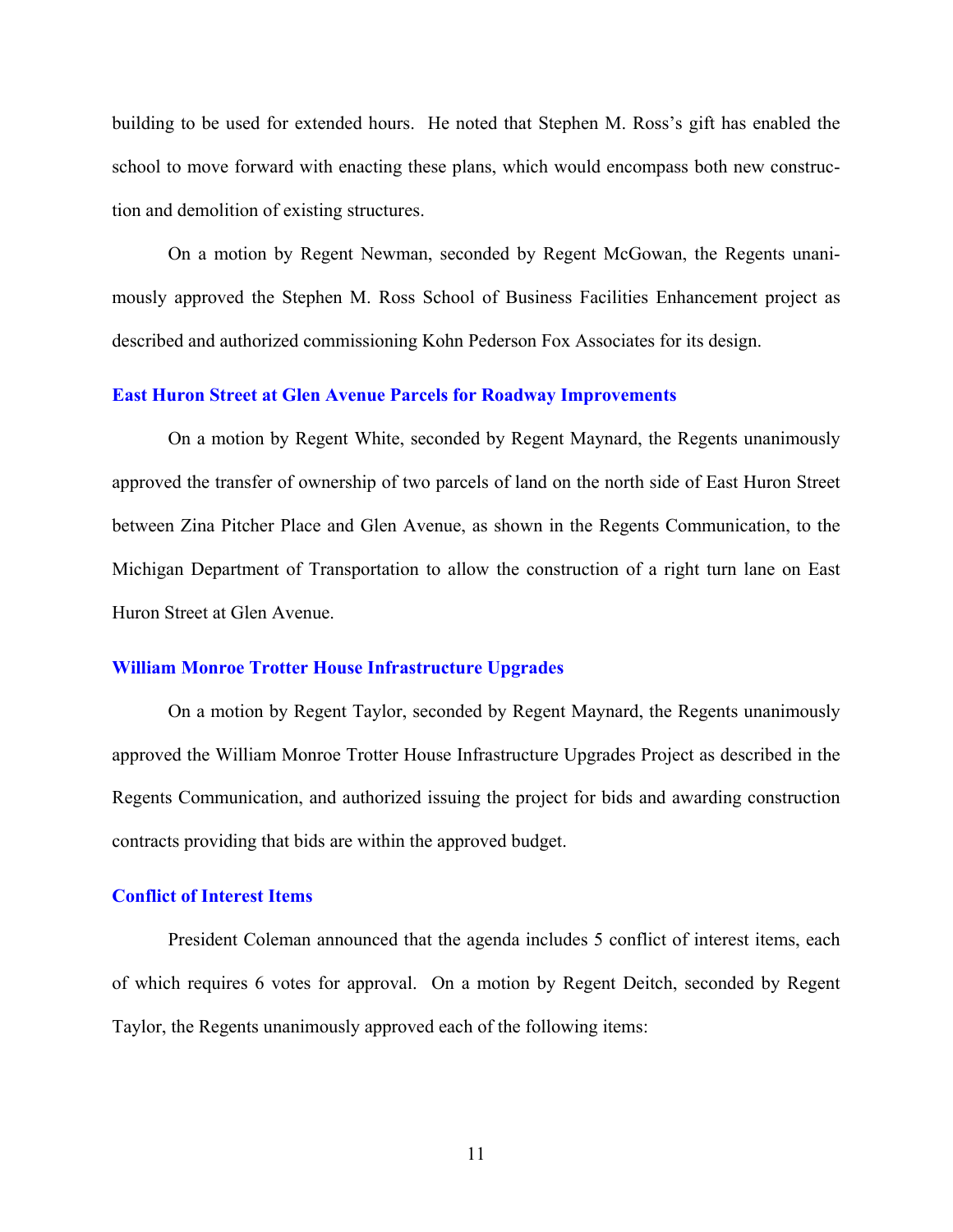building to be used for extended hours. He noted that Stephen M. Ross's gift has enabled the school to move forward with enacting these plans, which would encompass both new construction and demolition of existing structures.

On a motion by Regent Newman, seconded by Regent McGowan, the Regents unanimously approved the Stephen M. Ross School of Business Facilities Enhancement project as described and authorized commissioning Kohn Pederson Fox Associates for its design.

### **East Huron Street at Glen Avenue Parcels for Roadway Improvements**

On a motion by Regent White, seconded by Regent Maynard, the Regents unanimously approved the transfer of ownership of two parcels of land on the north side of East Huron Street between Zina Pitcher Place and Glen Avenue, as shown in the Regents Communication, to the Michigan Department of Transportation to allow the construction of a right turn lane on East Huron Street at Glen Avenue.

## **William Monroe Trotter House Infrastructure Upgrades**

On a motion by Regent Taylor, seconded by Regent Maynard, the Regents unanimously approved the William Monroe Trotter House Infrastructure Upgrades Project as described in the Regents Communication, and authorized issuing the project for bids and awarding construction contracts providing that bids are within the approved budget.

### **Conflict of Interest Items**

President Coleman announced that the agenda includes 5 conflict of interest items, each of which requires 6 votes for approval. On a motion by Regent Deitch, seconded by Regent Taylor, the Regents unanimously approved each of the following items:

11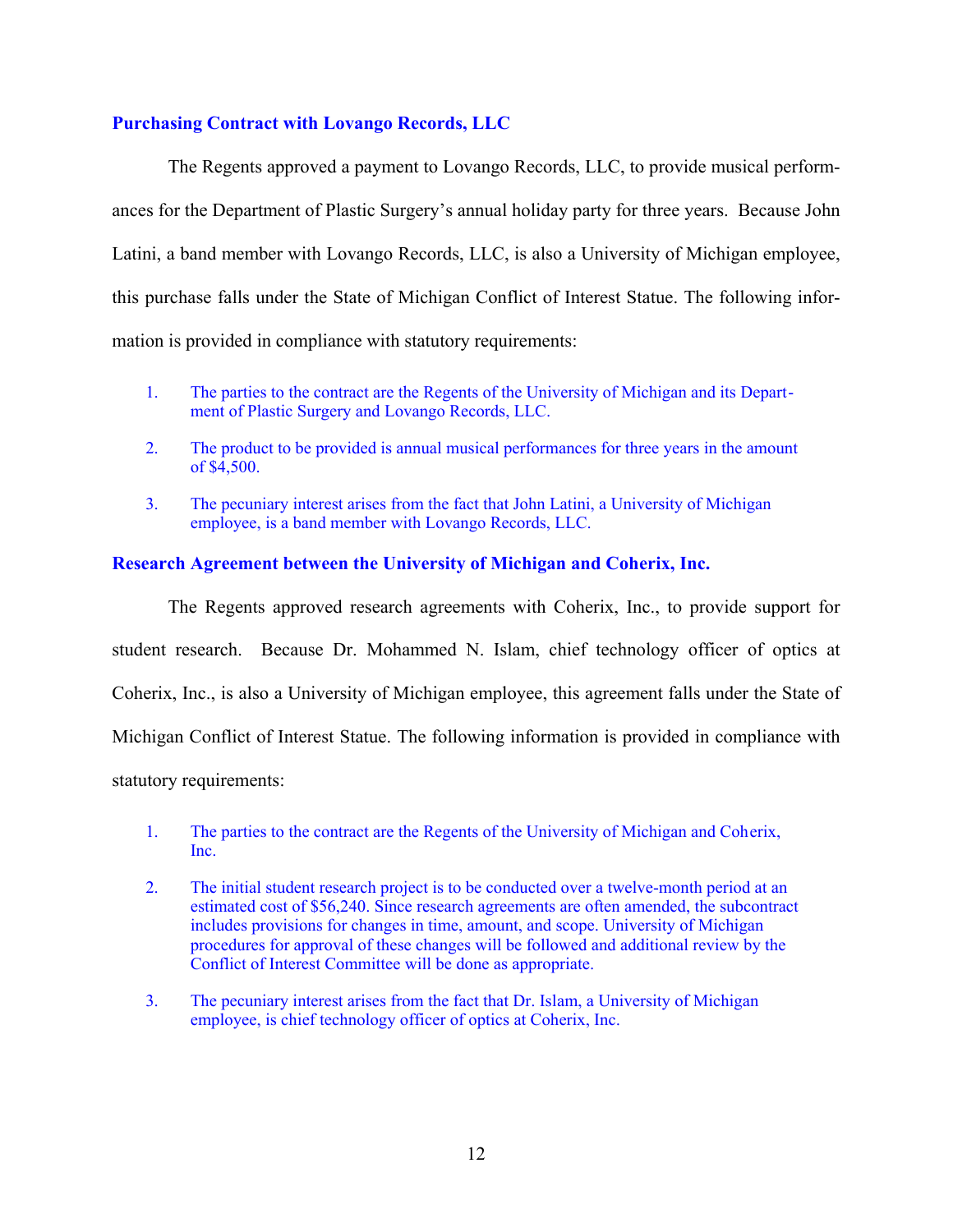# **Purchasing Contract with Lovango Records, LLC**

The Regents approved a payment to Lovango Records, LLC, to provide musical performances for the Department of Plastic Surgery's annual holiday party for three years. Because John Latini, a band member with Lovango Records, LLC, is also a University of Michigan employee, this purchase falls under the State of Michigan Conflict of Interest Statue. The following information is provided in compliance with statutory requirements:

- 1. The parties to the contract are the Regents of the University of Michigan and its Department of Plastic Surgery and Lovango Records, LLC.
- 2. The product to be provided is annual musical performances for three years in the amount of \$4,500.
- 3. The pecuniary interest arises from the fact that John Latini, a University of Michigan employee, is a band member with Lovango Records, LLC.

## **Research Agreement between the University of Michigan and Coherix, Inc.**

The Regents approved research agreements with Coherix, Inc., to provide support for student research. Because Dr. Mohammed N. Islam, chief technology officer of optics at Coherix, Inc., is also a University of Michigan employee, this agreement falls under the State of Michigan Conflict of Interest Statue. The following information is provided in compliance with statutory requirements:

- 1. The parties to the contract are the Regents of the University of Michigan and Coherix, Inc.
- 2. The initial student research project is to be conducted over a twelve-month period at an estimated cost of \$56,240. Since research agreements are often amended, the subcontract includes provisions for changes in time, amount, and scope. University of Michigan procedures for approval of these changes will be followed and additional review by the Conflict of Interest Committee will be done as appropriate.
- 3. The pecuniary interest arises from the fact that Dr. Islam, a University of Michigan employee, is chief technology officer of optics at Coherix, Inc.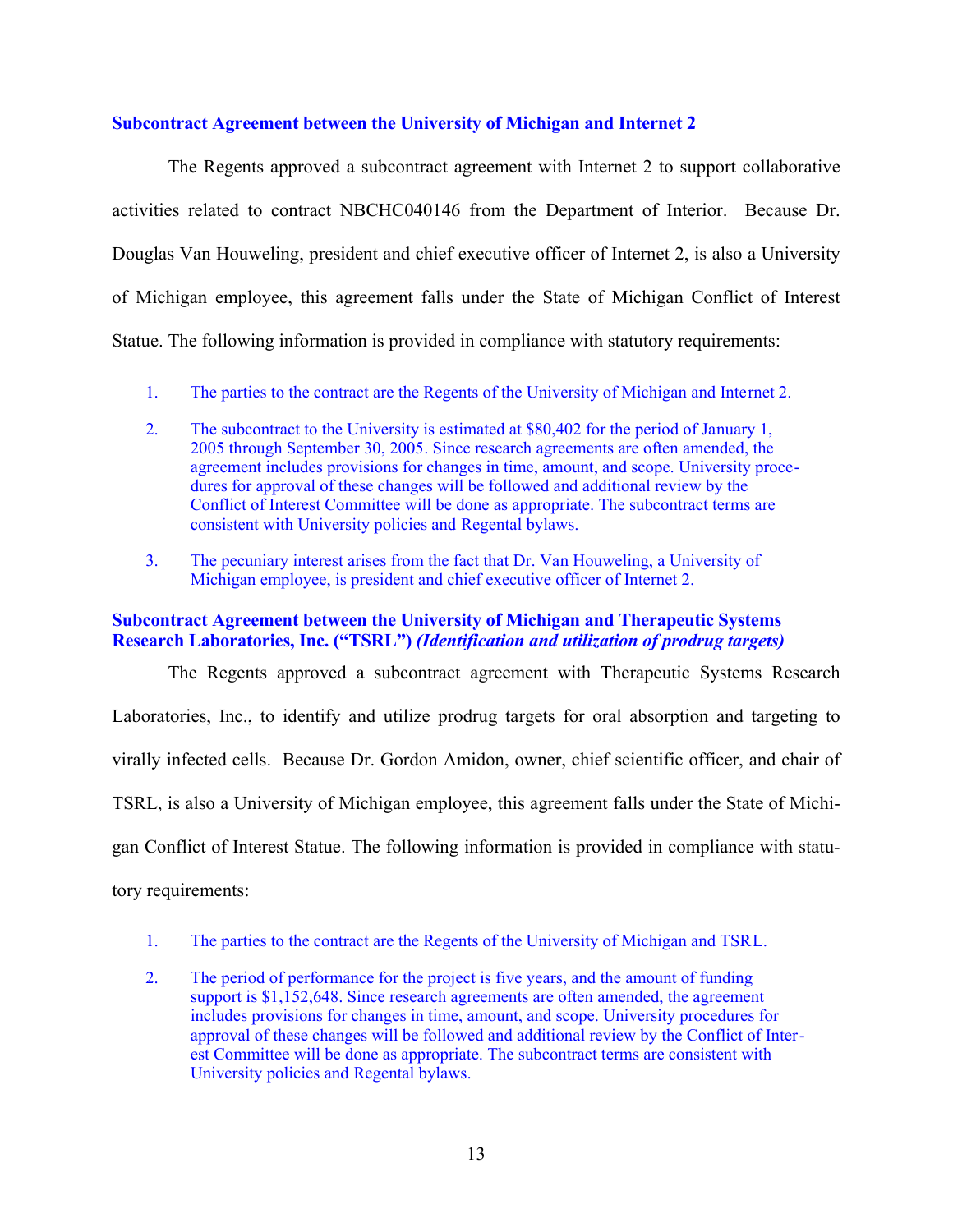## **Subcontract Agreement between the University of Michigan and Internet 2**

The Regents approved a subcontract agreement with Internet 2 to support collaborative activities related to contract NBCHC040146 from the Department of Interior. Because Dr. Douglas Van Houweling, president and chief executive officer of Internet 2, is also a University of Michigan employee, this agreement falls under the State of Michigan Conflict of Interest Statue. The following information is provided in compliance with statutory requirements:

- 1. The parties to the contract are the Regents of the University of Michigan and Internet 2.
- 2. The subcontract to the University is estimated at \$80,402 for the period of January 1, 2005 through September 30, 2005. Since research agreements are often amended, the agreement includes provisions for changes in time, amount, and scope. University procedures for approval of these changes will be followed and additional review by the Conflict of Interest Committee will be done as appropriate. The subcontract terms are consistent with University policies and Regental bylaws.
- 3. The pecuniary interest arises from the fact that Dr. Van Houweling, a University of Michigan employee, is president and chief executive officer of Internet 2.

## **Subcontract Agreement between the University of Michigan and Therapeutic Systems Research Laboratories, Inc. ("TSRL")** *(Identification and utilization of prodrug targets)*

The Regents approved a subcontract agreement with Therapeutic Systems Research Laboratories, Inc., to identify and utilize prodrug targets for oral absorption and targeting to virally infected cells. Because Dr. Gordon Amidon, owner, chief scientific officer, and chair of TSRL, is also a University of Michigan employee, this agreement falls under the State of Michigan Conflict of Interest Statue. The following information is provided in compliance with statutory requirements:

- 1. The parties to the contract are the Regents of the University of Michigan and TSRL.
- 2. The period of performance for the project is five years, and the amount of funding support is \$1,152,648. Since research agreements are often amended, the agreement includes provisions for changes in time, amount, and scope. University procedures for approval of these changes will be followed and additional review by the Conflict of Interest Committee will be done as appropriate. The subcontract terms are consistent with University policies and Regental bylaws.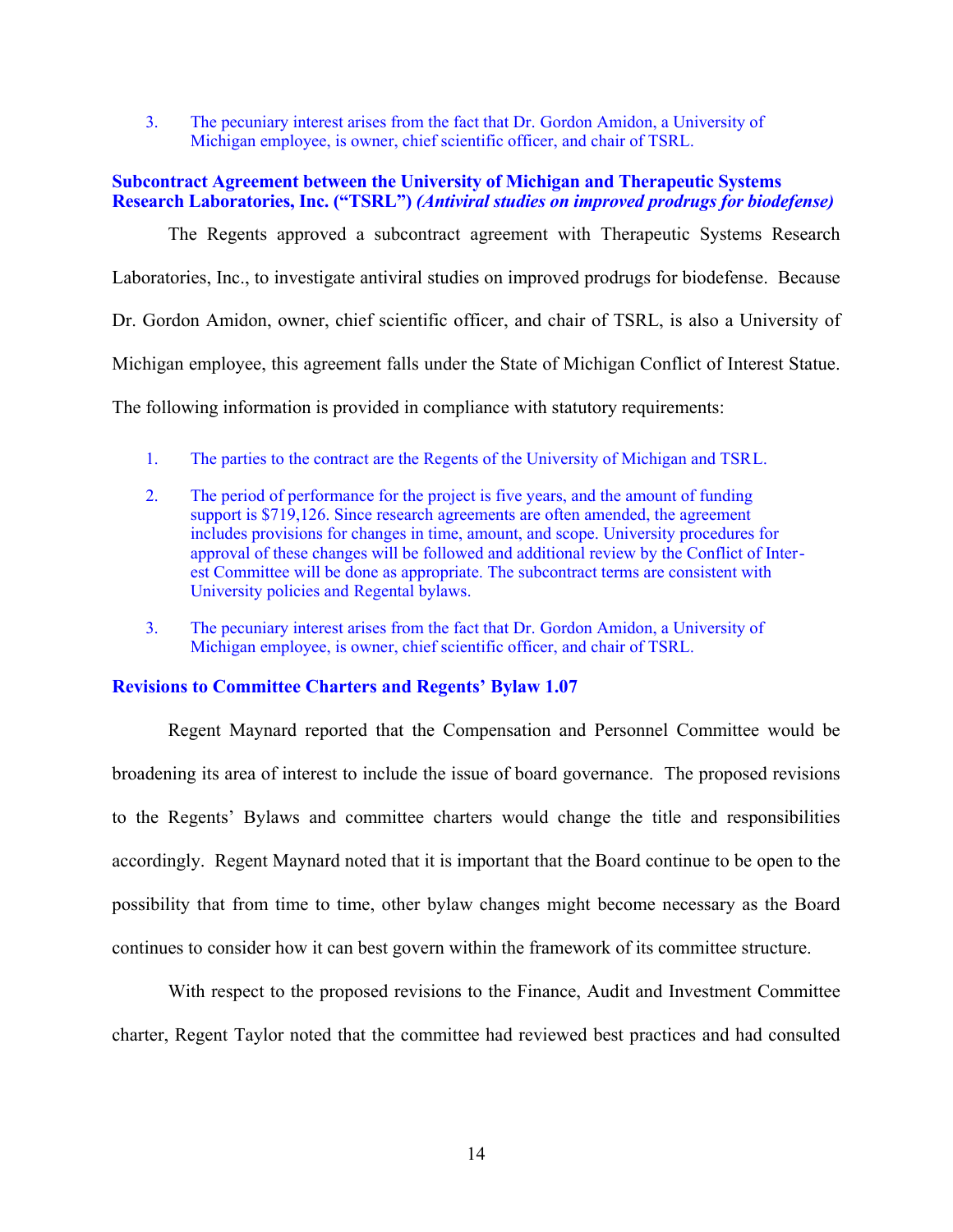3. The pecuniary interest arises from the fact that Dr. Gordon Amidon, a University of Michigan employee, is owner, chief scientific officer, and chair of TSRL.

## **Subcontract Agreement between the University of Michigan and Therapeutic Systems Research Laboratories, Inc. ("TSRL")** *(Antiviral studies on improved prodrugs for biodefense)*

The Regents approved a subcontract agreement with Therapeutic Systems Research Laboratories, Inc., to investigate antiviral studies on improved prodrugs for biodefense. Because Dr. Gordon Amidon, owner, chief scientific officer, and chair of TSRL, is also a University of Michigan employee, this agreement falls under the State of Michigan Conflict of Interest Statue. The following information is provided in compliance with statutory requirements:

- 1. The parties to the contract are the Regents of the University of Michigan and TSRL.
- 2. The period of performance for the project is five years, and the amount of funding support is \$719,126. Since research agreements are often amended, the agreement includes provisions for changes in time, amount, and scope. University procedures for approval of these changes will be followed and additional review by the Conflict of Interest Committee will be done as appropriate. The subcontract terms are consistent with University policies and Regental bylaws.
- 3. The pecuniary interest arises from the fact that Dr. Gordon Amidon, a University of Michigan employee, is owner, chief scientific officer, and chair of TSRL.

# **Revisions to Committee Charters and Regents' Bylaw 1.07**

Regent Maynard reported that the Compensation and Personnel Committee would be broadening its area of interest to include the issue of board governance. The proposed revisions to the Regents' Bylaws and committee charters would change the title and responsibilities accordingly. Regent Maynard noted that it is important that the Board continue to be open to the possibility that from time to time, other bylaw changes might become necessary as the Board continues to consider how it can best govern within the framework of its committee structure.

With respect to the proposed revisions to the Finance, Audit and Investment Committee charter, Regent Taylor noted that the committee had reviewed best practices and had consulted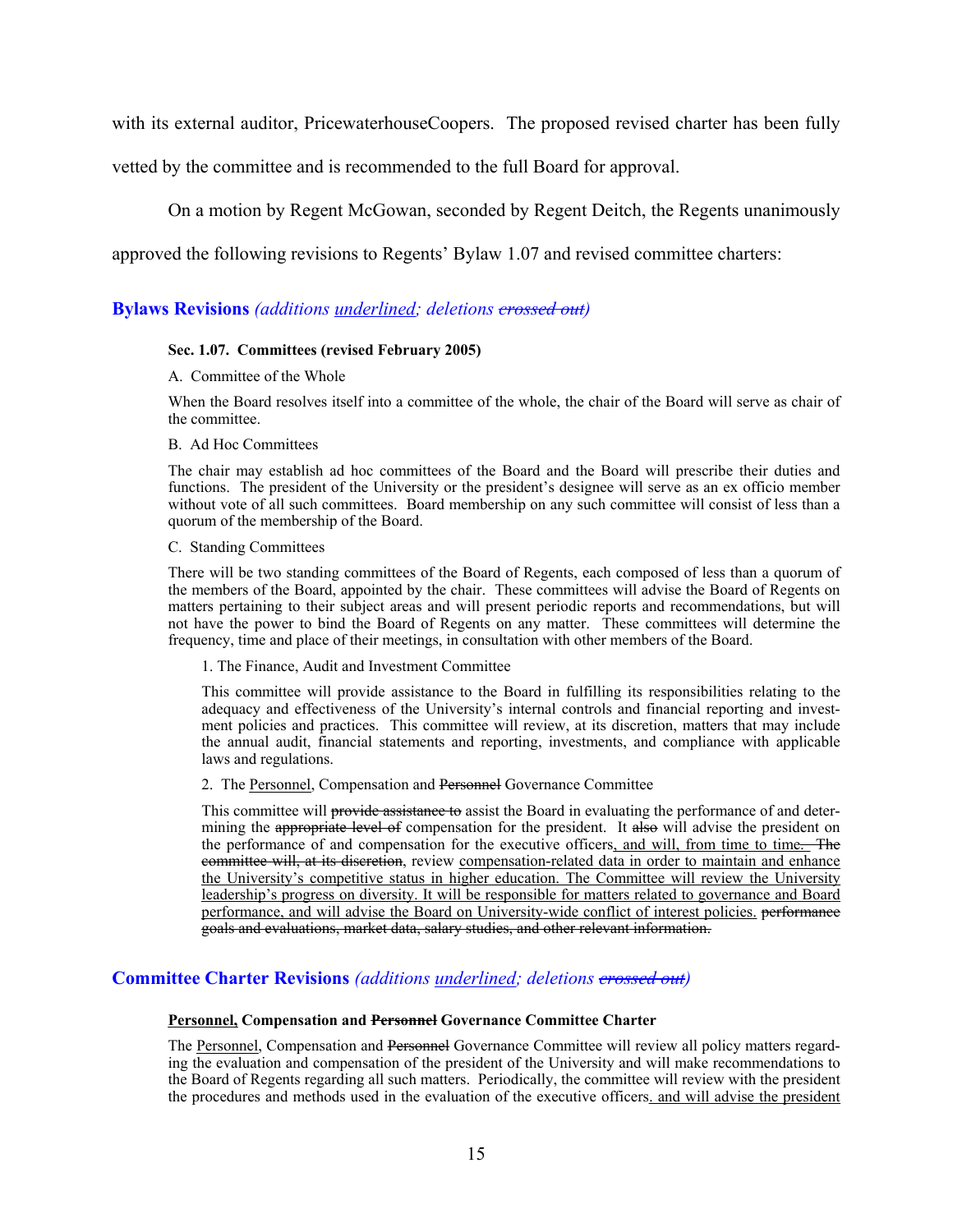with its external auditor, PricewaterhouseCoopers. The proposed revised charter has been fully

vetted by the committee and is recommended to the full Board for approval.

On a motion by Regent McGowan, seconded by Regent Deitch, the Regents unanimously

approved the following revisions to Regents' Bylaw 1.07 and revised committee charters:

## **Bylaws Revisions** *(additions underlined; deletions crossed out)*

#### **Sec. 1.07. Committees (revised February 2005)**

A. Committee of the Whole

When the Board resolves itself into a committee of the whole, the chair of the Board will serve as chair of the committee.

#### B. Ad Hoc Committees

The chair may establish ad hoc committees of the Board and the Board will prescribe their duties and functions. The president of the University or the president's designee will serve as an ex officio member without vote of all such committees. Board membership on any such committee will consist of less than a quorum of the membership of the Board.

#### C. Standing Committees

There will be two standing committees of the Board of Regents, each composed of less than a quorum of the members of the Board, appointed by the chair. These committees will advise the Board of Regents on matters pertaining to their subject areas and will present periodic reports and recommendations, but will not have the power to bind the Board of Regents on any matter. These committees will determine the frequency, time and place of their meetings, in consultation with other members of the Board.

#### 1. The Finance, Audit and Investment Committee

This committee will provide assistance to the Board in fulfilling its responsibilities relating to the adequacy and effectiveness of the University's internal controls and financial reporting and investment policies and practices. This committee will review, at its discretion, matters that may include the annual audit, financial statements and reporting, investments, and compliance with applicable laws and regulations.

#### 2. The Personnel, Compensation and Personnel Governance Committee

This committee will provide assistance to assist the Board in evaluating the performance of and determining the appropriate level of compensation for the president. It also will advise the president on the performance of and compensation for the executive officers, and will, from time to time. The committee will, at its discretion, review compensation-related data in order to maintain and enhance the University's competitive status in higher education. The Committee will review the University leadership's progress on diversity. It will be responsible for matters related to governance and Board performance, and will advise the Board on University-wide conflict of interest policies. performance goals and evaluations, market data, salary studies, and other relevant information.

## **Committee Charter Revisions** *(additions underlined; deletions crossed out)*

#### **Personnel, Compensation and Personnel Governance Committee Charter**

The Personnel, Compensation and Personnel Governance Committee will review all policy matters regarding the evaluation and compensation of the president of the University and will make recommendations to the Board of Regents regarding all such matters. Periodically, the committee will review with the president the procedures and methods used in the evaluation of the executive officers, and will advise the president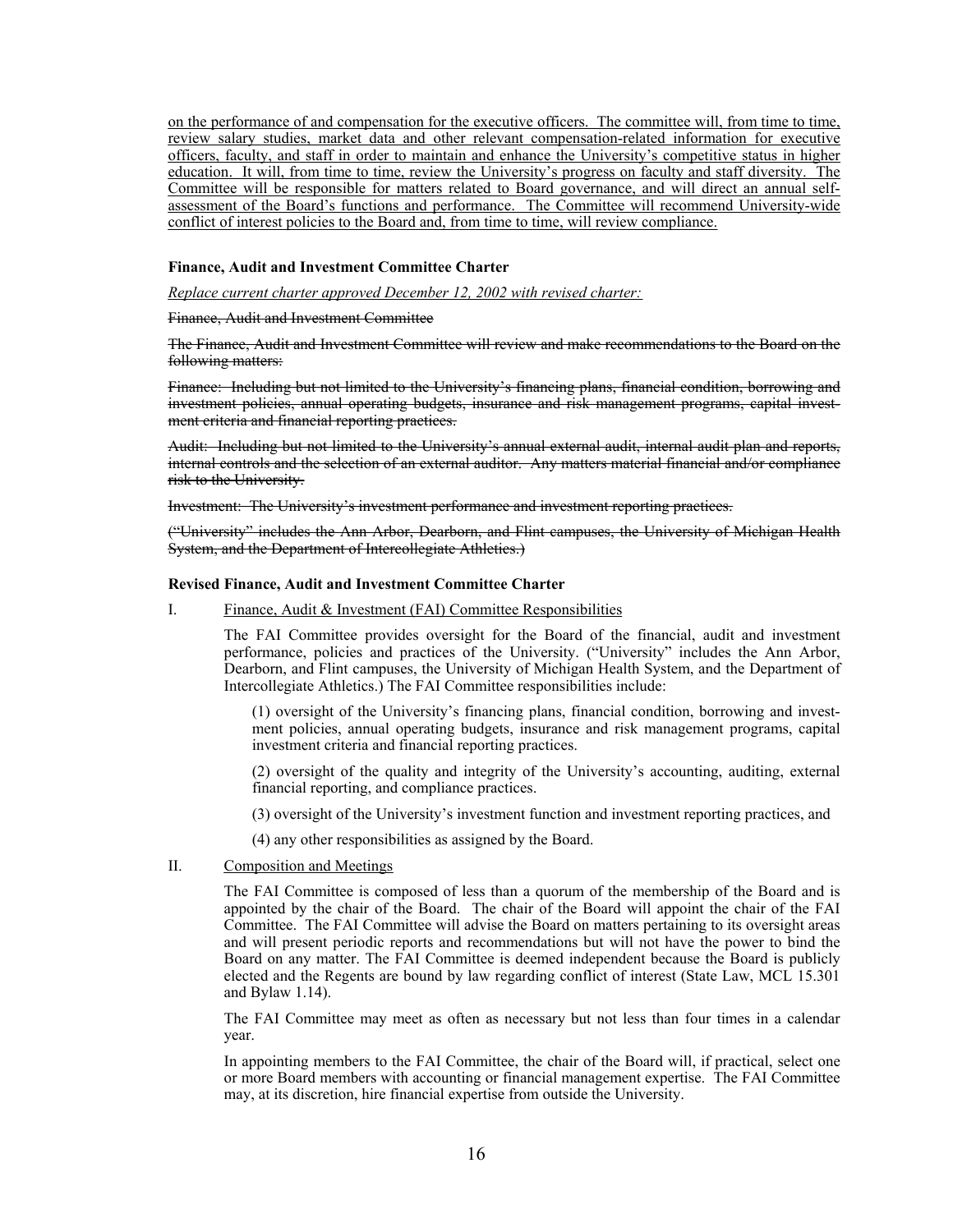on the performance of and compensation for the executive officers. The committee will, from time to time, review salary studies, market data and other relevant compensation-related information for executive officers, faculty, and staff in order to maintain and enhance the University's competitive status in higher education. It will, from time to time, review the University's progress on faculty and staff diversity. The Committee will be responsible for matters related to Board governance, and will direct an annual selfassessment of the Board's functions and performance. The Committee will recommend University-wide conflict of interest policies to the Board and, from time to time, will review compliance.

#### **Finance, Audit and Investment Committee Charter**

*Replace current charter approved December 12, 2002 with revised charter:*

Finance, Audit and Investment Committee

The Finance, Audit and Investment Committee will review and make recommendations to the Board on the following matters:

Finance: Including but not limited to the University's financing plans, financial condition, borrowing and investment policies, annual operating budgets, insurance and risk management programs, capital investment criteria and financial reporting practices.

Audit: Including but not limited to the University's annual external audit, internal audit plan and reports, internal controls and the selection of an external auditor. Any matters material financial and/or compliance risk to the University.

Investment: The University's investment performance and investment reporting practices.

("University" includes the Ann Arbor, Dearborn, and Flint campuses, the University of Michigan Health System, and the Department of Intercollegiate Athletics.)

#### **Revised Finance, Audit and Investment Committee Charter**

I. Finance, Audit & Investment (FAI) Committee Responsibilities

The FAI Committee provides oversight for the Board of the financial, audit and investment performance, policies and practices of the University. ("University" includes the Ann Arbor, Dearborn, and Flint campuses, the University of Michigan Health System, and the Department of Intercollegiate Athletics.) The FAI Committee responsibilities include:

(1) oversight of the University's financing plans, financial condition, borrowing and investment policies, annual operating budgets, insurance and risk management programs, capital investment criteria and financial reporting practices.

(2) oversight of the quality and integrity of the University's accounting, auditing, external financial reporting, and compliance practices.

(3) oversight of the University's investment function and investment reporting practices, and

(4) any other responsibilities as assigned by the Board.

#### II. Composition and Meetings

The FAI Committee is composed of less than a quorum of the membership of the Board and is appointed by the chair of the Board. The chair of the Board will appoint the chair of the FAI Committee. The FAI Committee will advise the Board on matters pertaining to its oversight areas and will present periodic reports and recommendations but will not have the power to bind the Board on any matter. The FAI Committee is deemed independent because the Board is publicly elected and the Regents are bound by law regarding conflict of interest (State Law, MCL 15.301 and Bylaw 1.14).

The FAI Committee may meet as often as necessary but not less than four times in a calendar year.

In appointing members to the FAI Committee, the chair of the Board will, if practical, select one or more Board members with accounting or financial management expertise. The FAI Committee may, at its discretion, hire financial expertise from outside the University.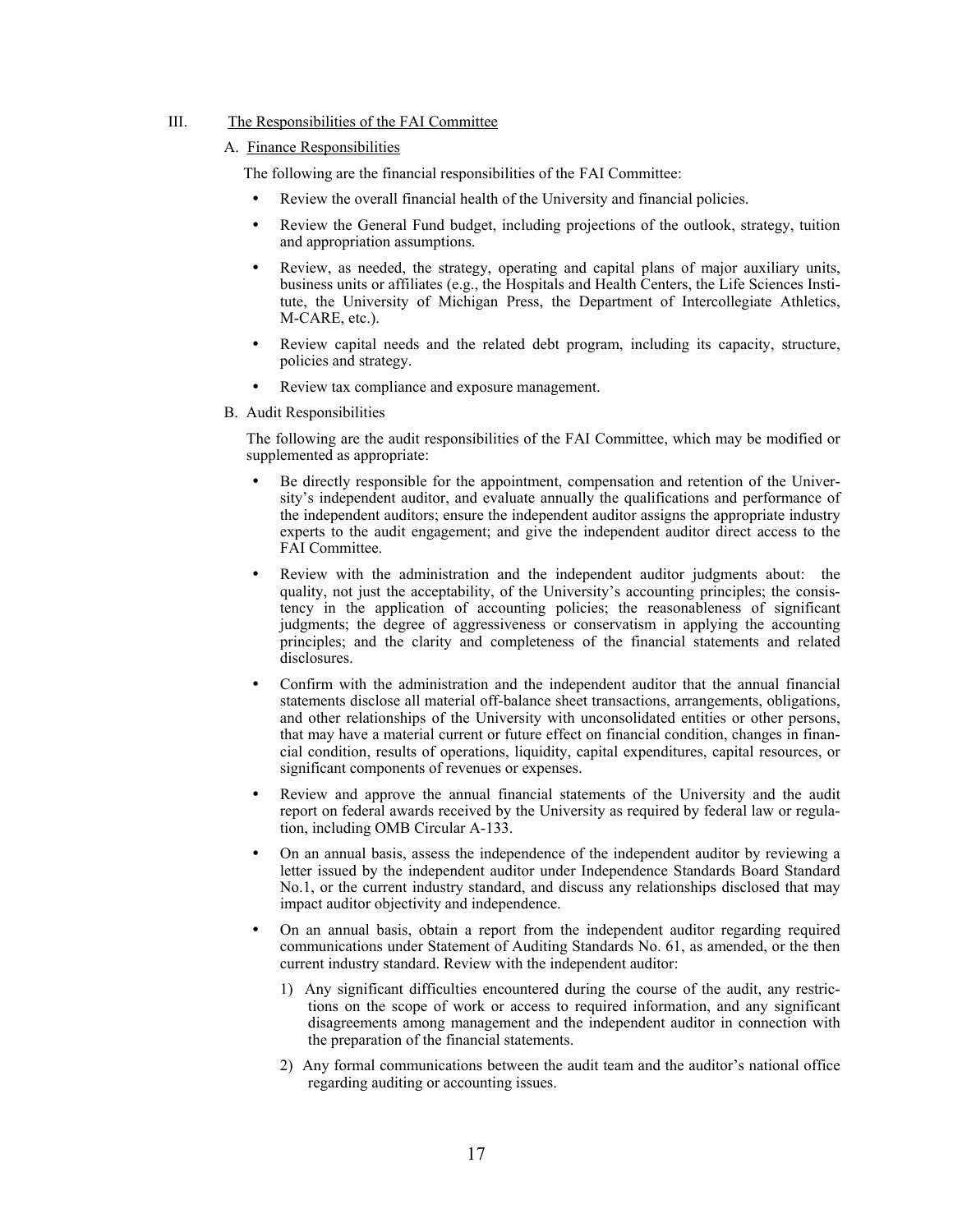#### III. The Responsibilities of the FAI Committee

#### A. Finance Responsibilities

The following are the financial responsibilities of the FAI Committee:

- Review the overall financial health of the University and financial policies.
- Review the General Fund budget, including projections of the outlook, strategy, tuition and appropriation assumptions.
- Review, as needed, the strategy, operating and capital plans of major auxiliary units, business units or affiliates (e.g., the Hospitals and Health Centers, the Life Sciences Institute, the University of Michigan Press, the Department of Intercollegiate Athletics, M-CARE, etc.).
- Review capital needs and the related debt program, including its capacity, structure, policies and strategy.
- Review tax compliance and exposure management.
- B. Audit Responsibilities

The following are the audit responsibilities of the FAI Committee, which may be modified or supplemented as appropriate:

- Be directly responsible for the appointment, compensation and retention of the University's independent auditor, and evaluate annually the qualifications and performance of the independent auditors; ensure the independent auditor assigns the appropriate industry experts to the audit engagement; and give the independent auditor direct access to the FAI Committee.
- Review with the administration and the independent auditor judgments about: the quality, not just the acceptability, of the University's accounting principles; the consistency in the application of accounting policies; the reasonableness of significant judgments; the degree of aggressiveness or conservatism in applying the accounting principles; and the clarity and completeness of the financial statements and related disclosures.
- Confirm with the administration and the independent auditor that the annual financial statements disclose all material off-balance sheet transactions, arrangements, obligations, and other relationships of the University with unconsolidated entities or other persons, that may have a material current or future effect on financial condition, changes in financial condition, results of operations, liquidity, capital expenditures, capital resources, or significant components of revenues or expenses.
- Review and approve the annual financial statements of the University and the audit report on federal awards received by the University as required by federal law or regulation, including OMB Circular A-133.
- On an annual basis, assess the independence of the independent auditor by reviewing a letter issued by the independent auditor under Independence Standards Board Standard No.1, or the current industry standard, and discuss any relationships disclosed that may impact auditor objectivity and independence.
- y On an annual basis, obtain a report from the independent auditor regarding required communications under Statement of Auditing Standards No. 61, as amended, or the then current industry standard. Review with the independent auditor:
	- 1) Any significant difficulties encountered during the course of the audit, any restrictions on the scope of work or access to required information, and any significant disagreements among management and the independent auditor in connection with the preparation of the financial statements.
	- 2) Any formal communications between the audit team and the auditor's national office regarding auditing or accounting issues.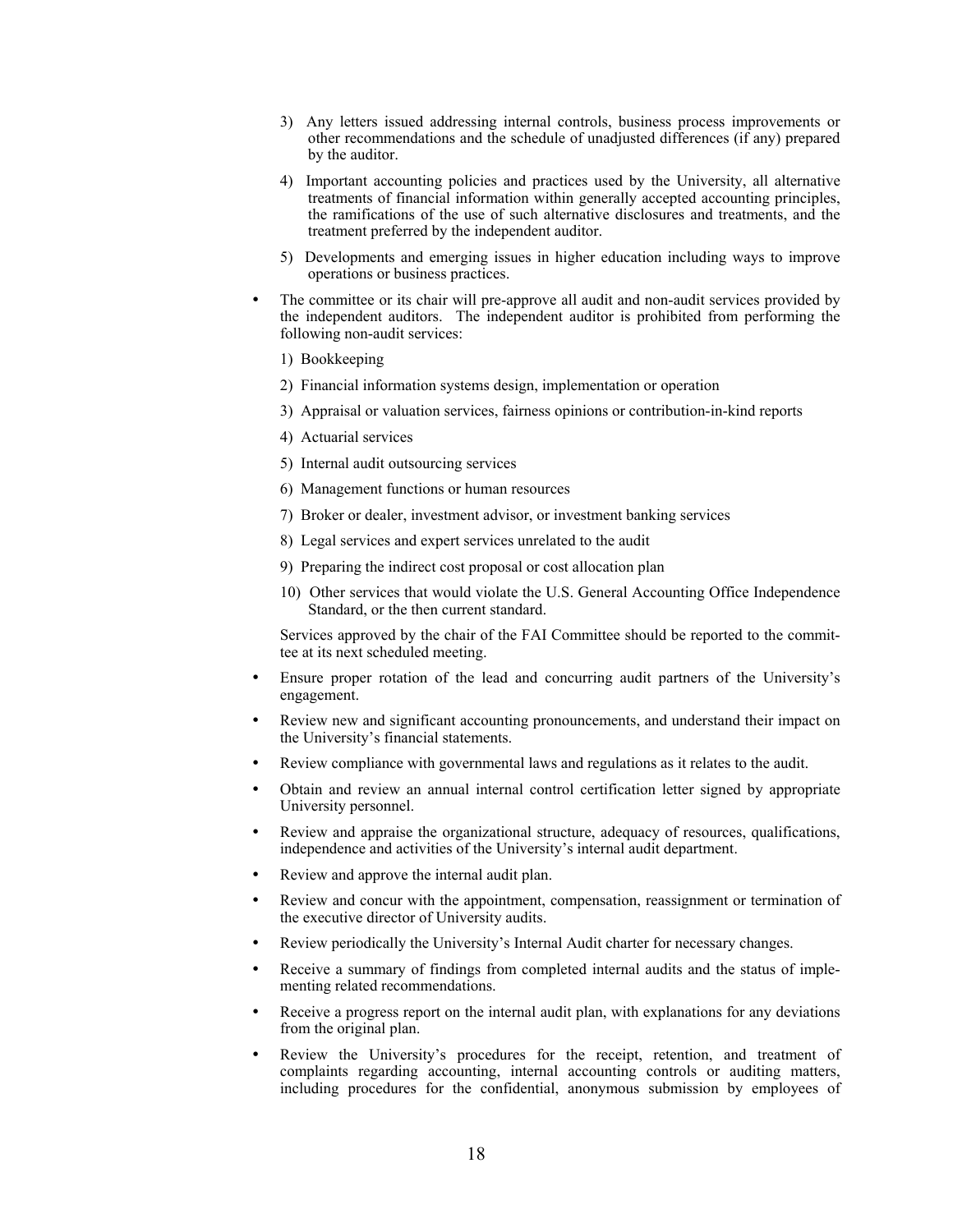- 3) Any letters issued addressing internal controls, business process improvements or other recommendations and the schedule of unadjusted differences (if any) prepared by the auditor.
- 4) Important accounting policies and practices used by the University, all alternative treatments of financial information within generally accepted accounting principles, the ramifications of the use of such alternative disclosures and treatments, and the treatment preferred by the independent auditor.
- 5) Developments and emerging issues in higher education including ways to improve operations or business practices.
- The committee or its chair will pre-approve all audit and non-audit services provided by the independent auditors. The independent auditor is prohibited from performing the following non-audit services:
	- 1) Bookkeeping
	- 2) Financial information systems design, implementation or operation
	- 3) Appraisal or valuation services, fairness opinions or contribution-in-kind reports
	- 4) Actuarial services
	- 5) Internal audit outsourcing services
	- 6) Management functions or human resources
	- 7) Broker or dealer, investment advisor, or investment banking services
	- 8) Legal services and expert services unrelated to the audit
	- 9) Preparing the indirect cost proposal or cost allocation plan
	- 10) Other services that would violate the U.S. General Accounting Office Independence Standard, or the then current standard.

Services approved by the chair of the FAI Committee should be reported to the committee at its next scheduled meeting.

- Ensure proper rotation of the lead and concurring audit partners of the University's engagement.
- Review new and significant accounting pronouncements, and understand their impact on the University's financial statements.
- Review compliance with governmental laws and regulations as it relates to the audit.
- Obtain and review an annual internal control certification letter signed by appropriate University personnel.
- Review and appraise the organizational structure, adequacy of resources, qualifications, independence and activities of the University's internal audit department.
- Review and approve the internal audit plan.
- Review and concur with the appointment, compensation, reassignment or termination of the executive director of University audits.
- Review periodically the University's Internal Audit charter for necessary changes.
- Receive a summary of findings from completed internal audits and the status of implementing related recommendations.
- Receive a progress report on the internal audit plan, with explanations for any deviations from the original plan.
- Review the University's procedures for the receipt, retention, and treatment of complaints regarding accounting, internal accounting controls or auditing matters, including procedures for the confidential, anonymous submission by employees of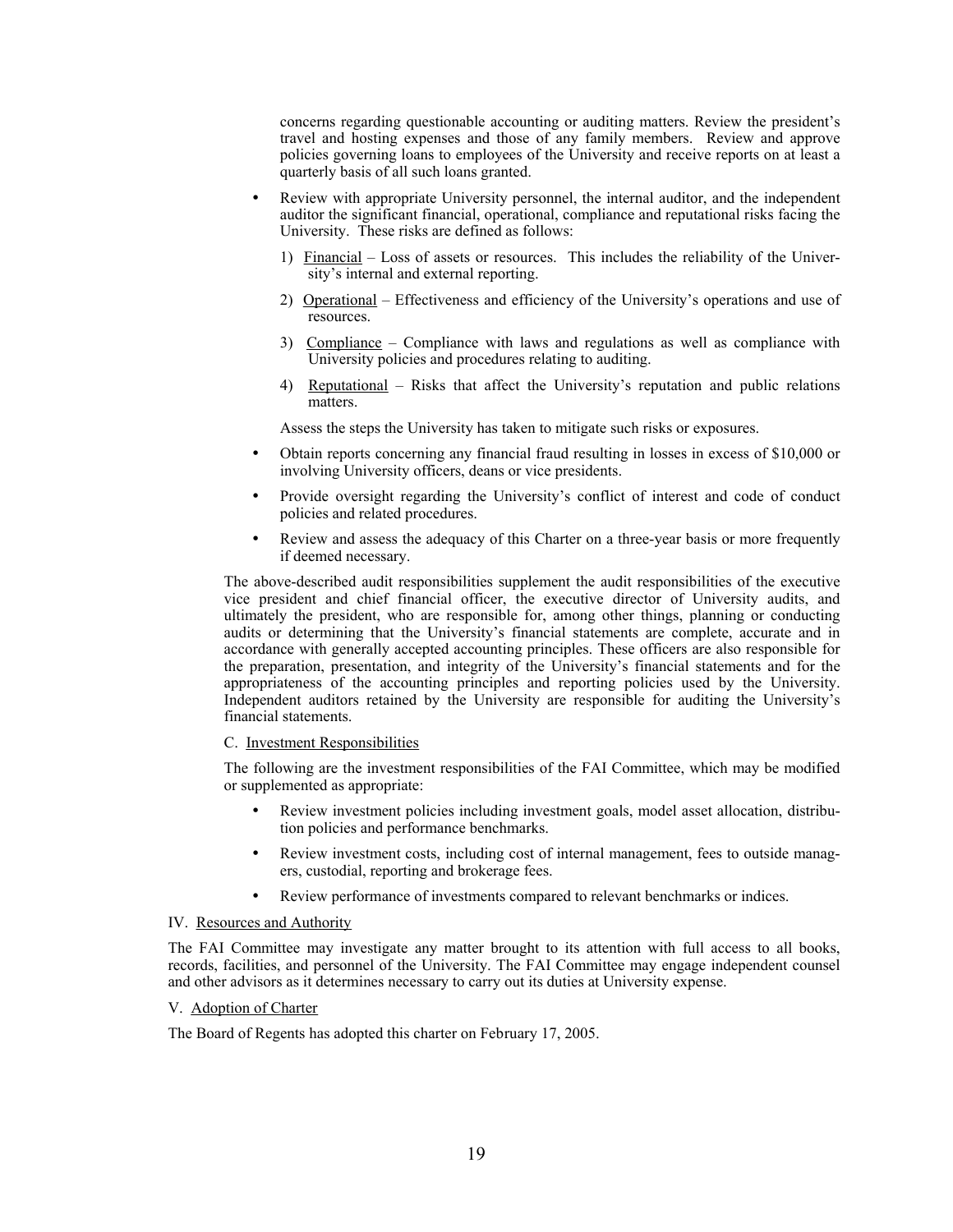concerns regarding questionable accounting or auditing matters. Review the president's travel and hosting expenses and those of any family members. Review and approve policies governing loans to employees of the University and receive reports on at least a quarterly basis of all such loans granted.

- Review with appropriate University personnel, the internal auditor, and the independent auditor the significant financial, operational, compliance and reputational risks facing the University. These risks are defined as follows:
	- 1) Financial Loss of assets or resources. This includes the reliability of the University's internal and external reporting.
	- 2) Operational Effectiveness and efficiency of the University's operations and use of resources.
	- 3) Compliance Compliance with laws and regulations as well as compliance with University policies and procedures relating to auditing.
	- 4) Reputational Risks that affect the University's reputation and public relations matters.

Assess the steps the University has taken to mitigate such risks or exposures.

- Obtain reports concerning any financial fraud resulting in losses in excess of \$10,000 or involving University officers, deans or vice presidents.
- Provide oversight regarding the University's conflict of interest and code of conduct policies and related procedures.
- Review and assess the adequacy of this Charter on a three-year basis or more frequently if deemed necessary.

The above-described audit responsibilities supplement the audit responsibilities of the executive vice president and chief financial officer, the executive director of University audits, and ultimately the president, who are responsible for, among other things, planning or conducting audits or determining that the University's financial statements are complete, accurate and in accordance with generally accepted accounting principles. These officers are also responsible for the preparation, presentation, and integrity of the University's financial statements and for the appropriateness of the accounting principles and reporting policies used by the University. Independent auditors retained by the University are responsible for auditing the University's financial statements.

#### C. Investment Responsibilities

The following are the investment responsibilities of the FAI Committee, which may be modified or supplemented as appropriate:

- Review investment policies including investment goals, model asset allocation, distribution policies and performance benchmarks.
- Review investment costs, including cost of internal management, fees to outside managers, custodial, reporting and brokerage fees.
- Review performance of investments compared to relevant benchmarks or indices.

#### IV. Resources and Authority

The FAI Committee may investigate any matter brought to its attention with full access to all books, records, facilities, and personnel of the University. The FAI Committee may engage independent counsel and other advisors as it determines necessary to carry out its duties at University expense.

#### V. Adoption of Charter

The Board of Regents has adopted this charter on February 17, 2005.